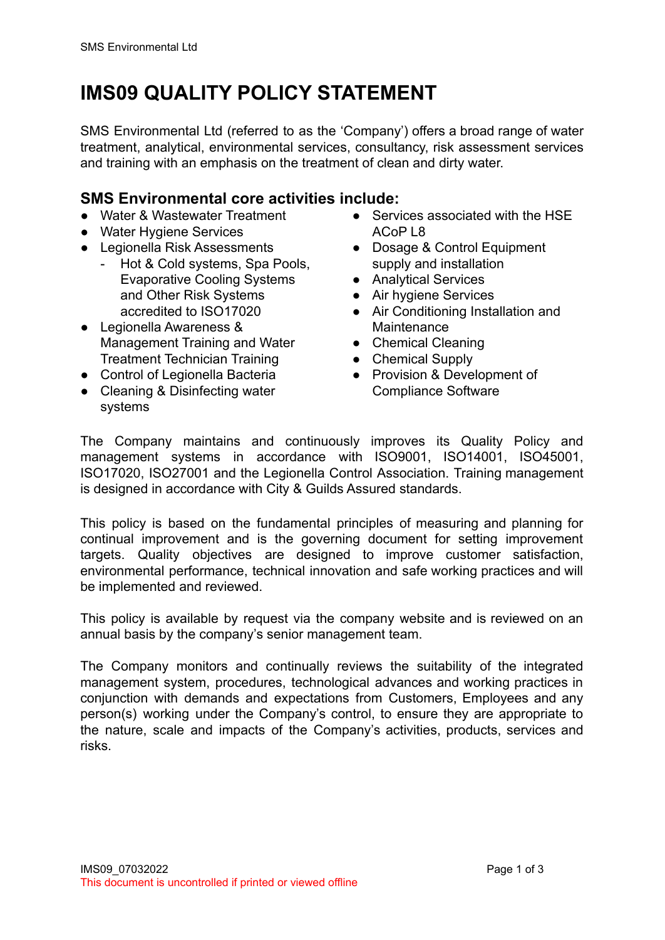## **IMS09 QUALITY POLICY STATEMENT**

SMS Environmental Ltd (referred to as the 'Company') offers a broad range of water treatment, analytical, environmental services, consultancy, risk assessment services and training with an emphasis on the treatment of clean and dirty water.

## **SMS Environmental core activities include:**

- Water & Wastewater Treatment
- Water Hygiene Services
- Legionella Risk Assessments
	- Hot & Cold systems, Spa Pools, Evaporative Cooling Systems and Other Risk Systems accredited to ISO17020
- Legionella Awareness & Management Training and Water Treatment Technician Training
- Control of Legionella Bacteria
- Cleaning & Disinfecting water systems
- Services associated with the HSF ACoP L8
- Dosage & Control Equipment supply and installation
- Analytical Services
- Air hygiene Services
- Air Conditioning Installation and Maintenance
- Chemical Cleaning
- Chemical Supply
- Provision & Development of Compliance Software

The Company maintains and continuously improves its Quality Policy and management systems in accordance with ISO9001, ISO14001, ISO45001, ISO17020, ISO27001 and the Legionella Control Association. Training management is designed in accordance with City & Guilds Assured standards.

This policy is based on the fundamental principles of measuring and planning for continual improvement and is the governing document for setting improvement targets. Quality objectives are designed to improve customer satisfaction, environmental performance, technical innovation and safe working practices and will be implemented and reviewed.

This policy is available by request via the company website and is reviewed on an annual basis by the company's senior management team.

The Company monitors and continually reviews the suitability of the integrated management system, procedures, technological advances and working practices in conjunction with demands and expectations from Customers, Employees and any person(s) working under the Company's control, to ensure they are appropriate to the nature, scale and impacts of the Company's activities, products, services and risks.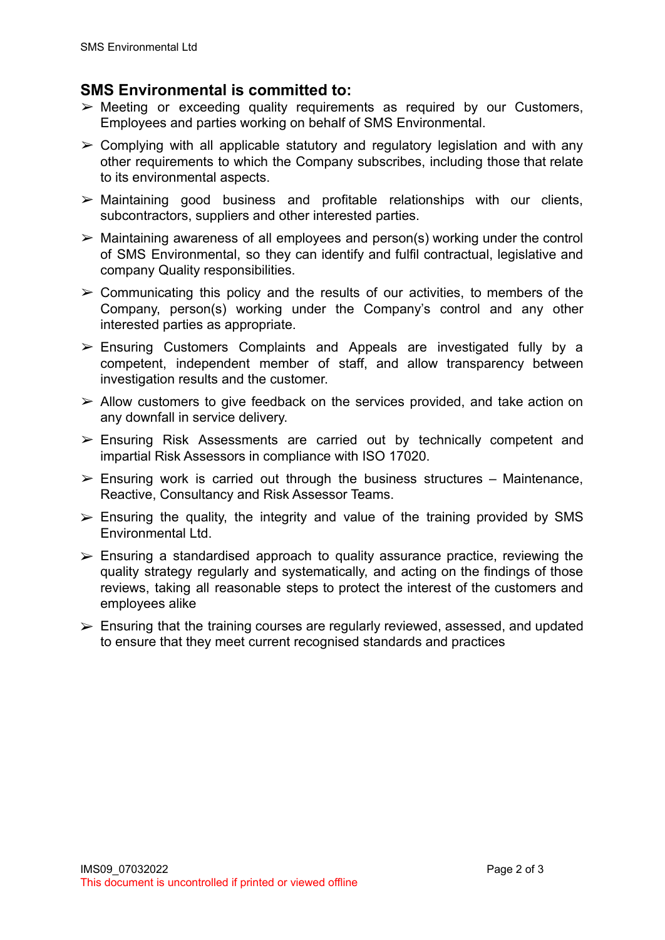## **SMS Environmental is committed to:**

- $\triangleright$  Meeting or exceeding quality requirements as required by our Customers, Employees and parties working on behalf of SMS Environmental.
- $\geq$  Complying with all applicable statutory and regulatory legislation and with any other requirements to which the Company subscribes, including those that relate to its environmental aspects.
- $\triangleright$  Maintaining good business and profitable relationships with our clients. subcontractors, suppliers and other interested parties.
- $\geq$  Maintaining awareness of all employees and person(s) working under the control of SMS Environmental, so they can identify and fulfil contractual, legislative and company Quality responsibilities.
- $\geq$  Communicating this policy and the results of our activities, to members of the Company, person(s) working under the Company's control and any other interested parties as appropriate.
- $\triangleright$  Ensuring Customers Complaints and Appeals are investigated fully by a competent, independent member of staff, and allow transparency between investigation results and the customer.
- $\triangleright$  Allow customers to give feedback on the services provided, and take action on any downfall in service delivery.
- $\triangleright$  Ensuring Risk Assessments are carried out by technically competent and impartial Risk Assessors in compliance with ISO 17020.
- $\triangleright$  Ensuring work is carried out through the business structures Maintenance, Reactive, Consultancy and Risk Assessor Teams.
- $\triangleright$  Ensuring the quality, the integrity and value of the training provided by SMS Environmental Ltd.
- $\triangleright$  Ensuring a standardised approach to quality assurance practice, reviewing the quality strategy regularly and systematically, and acting on the findings of those reviews, taking all reasonable steps to protect the interest of the customers and employees alike
- $\triangleright$  Ensuring that the training courses are regularly reviewed, assessed, and updated to ensure that they meet current recognised standards and practices